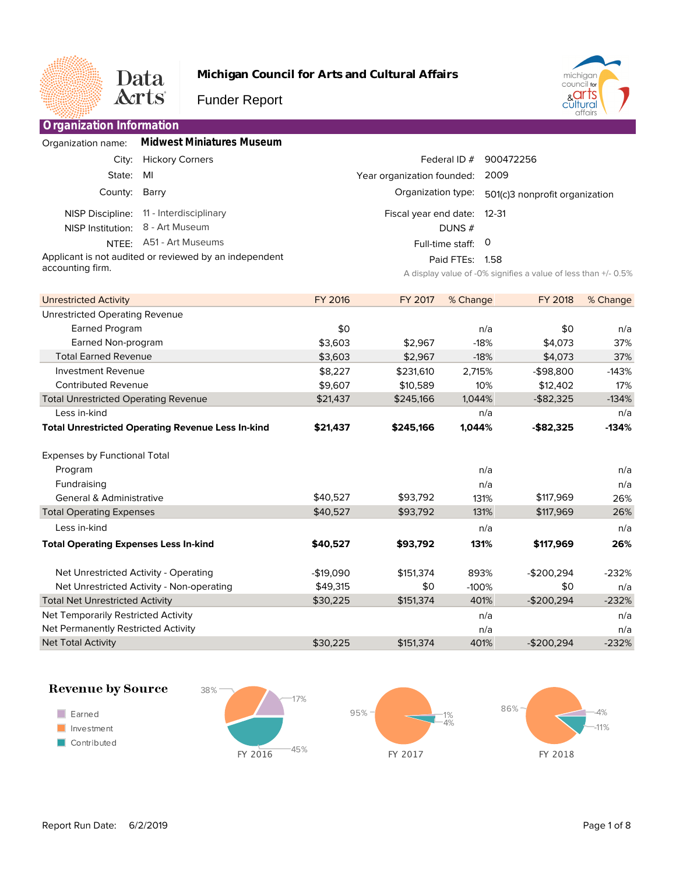

**Organization Information**

Contributed Revenue

Expenses by Functional Total

General & Administrative Total Operating Expenses

Total Net Unrestricted Activity Net Temporarily Restricted Activity Net Permanently Restricted Activity

**Revenue by Source** 

**Total Operating Expenses Less In-kind**

Net Unrestricted Activity - Operating Net Unrestricted Activity - Non-operating

Less in-kind

Program Fundraising

Less in-kind

Net Total Activity

 $\blacksquare$  Earned

Investment

Contributed

Total Unrestricted Operating Revenue

**Total Unrestricted Operating Revenue Less In-kind**

**Michigan Council for Arts and Cultural Affairs**



Funder Report

| <u>Unganization innonnation</u>                        |                           |         |                             |                       |                                                                |          |
|--------------------------------------------------------|---------------------------|---------|-----------------------------|-----------------------|----------------------------------------------------------------|----------|
| Organization name:                                     | Midwest Miniatures Museum |         |                             |                       |                                                                |          |
| City:                                                  | <b>Hickory Corners</b>    |         |                             | Federal ID $#$        | 900472256                                                      |          |
| State:                                                 | MI                        |         | Year organization founded:  |                       | 2009                                                           |          |
| County:                                                | Barry                     |         | Organization type:          |                       | 501(c)3 nonprofit organization                                 |          |
| NISP Discipline:                                       | 11 - Interdisciplinary    |         | Fiscal year end date: 12-31 |                       |                                                                |          |
| NISP Institution:                                      | 8 - Art Museum            |         |                             | DUNS $#$              |                                                                |          |
| NTEE:                                                  | A51 - Art Museums         |         |                             | O<br>Full-time staff: |                                                                |          |
| Applicant is not audited or reviewed by an independent |                           |         |                             | Paid FTEs: 1.58       |                                                                |          |
| accounting firm.                                       |                           |         |                             |                       | A display value of -0% signifies a value of less than +/- 0.5% |          |
|                                                        |                           |         |                             |                       |                                                                |          |
| Unrestricted Activity                                  |                           | FY 2016 | FY 2017                     | % Change              | FY 2018                                                        | % Change |
| <b>Unrestricted Operating Revenue</b>                  |                           |         |                             |                       |                                                                |          |
| Earned Program                                         |                           | \$0     |                             | n/a                   | \$0                                                            | n/a      |
| Earned Non-program                                     |                           | \$3,603 | \$2,967                     | $-18%$                | \$4,073                                                        | 37%      |
| <b>Total Earned Revenue</b>                            |                           | \$3,603 | \$2,967                     | $-18%$                | \$4,073                                                        | 37%      |
| <b>Investment Revenue</b>                              |                           | \$8,227 | \$231,610                   | 2,715%                | $-$98,800$                                                     | $-143%$  |

\$9,607 \$21,437

\$10,589 \$245,166

10% 1,044% n/a **1,044%**

\$12,402 -\$82,325

17% -134% n/a **-134%**

> n/a n/a 26% 26% n/a **26%**

-232% n/a -232% n/a n/a -232%

**-\$82,325**

\$117,969 \$117,969

**\$117,969**

-\$200,294 \$0 -\$200,294

-\$200,294

n/a n/a 131% 131% n/a **131%**

893% -100% 401% n/a n/a 401%

**\$245,166**

\$93,792 \$93,792

**\$93,792**

\$151,374 \$0 \$151,374

\$151,374

**\$21,437**

\$40,527 \$40,527

**\$40,527**

-\$19,090 \$49,315 \$30,225

\$30,225





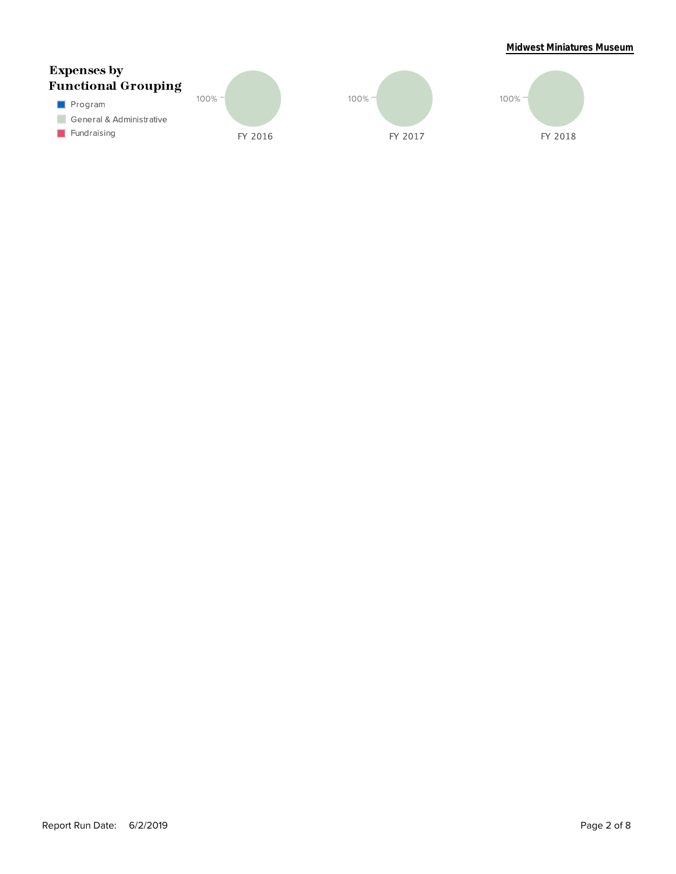## **Midwest Miniatures Museum**

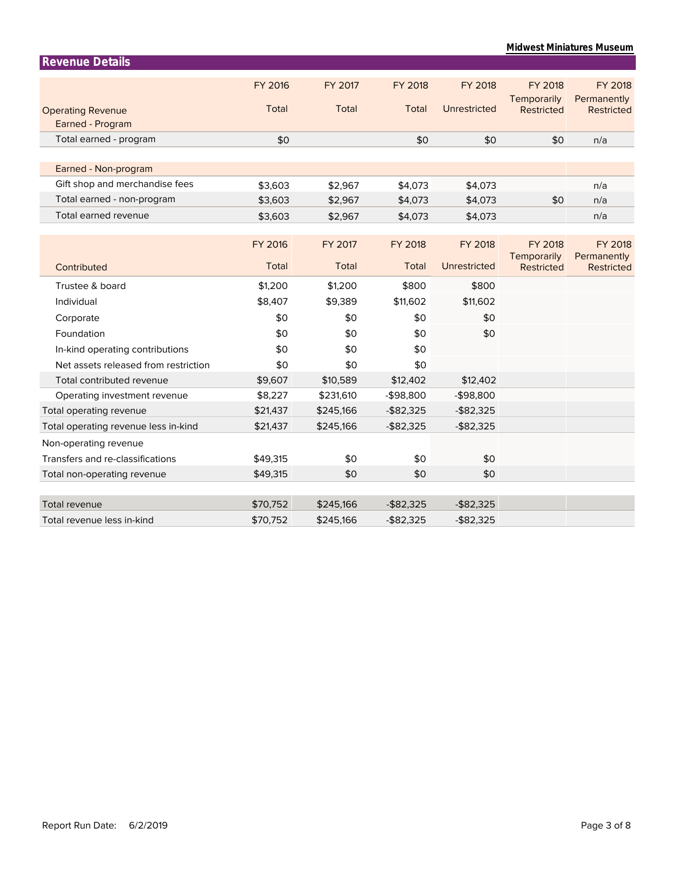| <b>Revenue Details</b>               |                |           |                |                |                           |                                  |
|--------------------------------------|----------------|-----------|----------------|----------------|---------------------------|----------------------------------|
|                                      | <b>FY 2016</b> | FY 2017   | <b>FY 2018</b> | <b>FY 2018</b> | <b>FY 2018</b>            | <b>FY 2018</b>                   |
|                                      |                |           |                |                | Temporarily               | Permanently                      |
| <b>Operating Revenue</b>             | Total          | Total     | Total          | Unrestricted   | <b>Restricted</b>         | Restricted                       |
| Earned - Program                     |                |           |                |                |                           |                                  |
| Total earned - program               | \$0            |           | \$0            | \$0            | \$0                       | n/a                              |
|                                      |                |           |                |                |                           |                                  |
| Earned - Non-program                 |                |           |                |                |                           |                                  |
| Gift shop and merchandise fees       | \$3,603        | \$2,967   | \$4,073        | \$4,073        |                           | n/a                              |
| Total earned - non-program           | \$3,603        | \$2,967   | \$4,073        | \$4,073        | \$0                       | n/a                              |
| Total earned revenue                 | \$3,603        | \$2,967   | \$4,073        | \$4,073        |                           | n/a                              |
|                                      |                |           |                |                |                           |                                  |
|                                      | <b>FY 2016</b> | FY 2017   | <b>FY 2018</b> | <b>FY 2018</b> | <b>FY 2018</b>            | <b>FY 2018</b>                   |
| Contributed                          | Total          | Total     | Total          | Unrestricted   | Temporarily<br>Restricted | Permanently<br><b>Restricted</b> |
|                                      |                |           |                |                |                           |                                  |
| Trustee & board                      | \$1,200        | \$1,200   | \$800          | \$800          |                           |                                  |
| Individual                           | \$8,407        | \$9,389   | \$11,602       | \$11,602       |                           |                                  |
| Corporate                            | \$0            | \$0       | \$0            | \$0            |                           |                                  |
| Foundation                           | \$0            | \$0       | \$0            | \$0            |                           |                                  |
| In-kind operating contributions      | \$0            | \$0       | \$0            |                |                           |                                  |
| Net assets released from restriction | \$0            | \$0       | \$0            |                |                           |                                  |
| Total contributed revenue            | \$9,607        | \$10,589  | \$12,402       | \$12,402       |                           |                                  |
| Operating investment revenue         | \$8,227        | \$231,610 | $-$98,800$     | $-$98,800$     |                           |                                  |
| Total operating revenue              | \$21,437       | \$245,166 | $-$ \$82,325   | $-$ \$82,325   |                           |                                  |
| Total operating revenue less in-kind | \$21,437       | \$245,166 | $-$ \$82,325   | $-$ \$82,325   |                           |                                  |
| Non-operating revenue                |                |           |                |                |                           |                                  |
| Transfers and re-classifications     | \$49,315       | \$0       | \$0            | \$0            |                           |                                  |
| Total non-operating revenue          | \$49,315       | \$0       | \$0            | \$0            |                           |                                  |
|                                      |                |           |                |                |                           |                                  |
| <b>Total revenue</b>                 | \$70,752       | \$245,166 | $-$ \$82,325   | $-$ \$82,325   |                           |                                  |
| Total revenue less in-kind           | \$70,752       | \$245,166 | $-$ \$82,325   | $-$ \$82,325   |                           |                                  |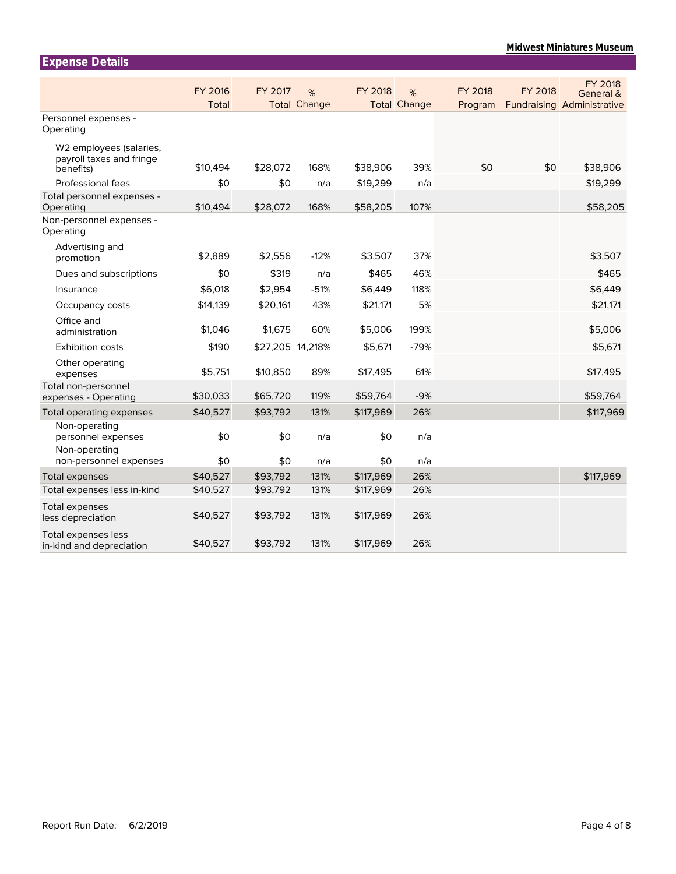| <b>Expense Details</b>                                           |                         |                  |                          |           |                          |                           |         |                                                           |
|------------------------------------------------------------------|-------------------------|------------------|--------------------------|-----------|--------------------------|---------------------------|---------|-----------------------------------------------------------|
|                                                                  | <b>FY 2016</b><br>Total | FY 2017          | %<br><b>Total Change</b> | FY 2018   | %<br><b>Total Change</b> | <b>FY 2018</b><br>Program | FY 2018 | FY 2018<br>General &<br><b>Fundraising Administrative</b> |
| Personnel expenses -<br>Operating                                |                         |                  |                          |           |                          |                           |         |                                                           |
| W2 employees (salaries,<br>payroll taxes and fringe<br>benefits) | \$10,494                | \$28,072         | 168%                     | \$38,906  | 39%                      | \$0                       | \$0     | \$38,906                                                  |
| Professional fees                                                | \$0                     | \$0              | n/a                      | \$19,299  | n/a                      |                           |         | \$19,299                                                  |
| Total personnel expenses -<br>Operating                          | \$10,494                | \$28,072         | 168%                     | \$58,205  | 107%                     |                           |         | \$58,205                                                  |
| Non-personnel expenses -<br>Operating                            |                         |                  |                          |           |                          |                           |         |                                                           |
| Advertising and<br>promotion                                     | \$2,889                 | \$2,556          | $-12%$                   | \$3,507   | 37%                      |                           |         | \$3,507                                                   |
| Dues and subscriptions                                           | \$0                     | \$319            | n/a                      | \$465     | 46%                      |                           |         | \$465                                                     |
| Insurance                                                        | \$6,018                 | \$2,954          | $-51%$                   | \$6,449   | 118%                     |                           |         | \$6,449                                                   |
| Occupancy costs                                                  | \$14,139                | \$20,161         | 43%                      | \$21,171  | 5%                       |                           |         | \$21,171                                                  |
| Office and<br>administration                                     | \$1,046                 | \$1,675          | 60%                      | \$5,006   | 199%                     |                           |         | \$5,006                                                   |
| <b>Exhibition costs</b>                                          | \$190                   | \$27,205 14,218% |                          | \$5,671   | $-79%$                   |                           |         | \$5,671                                                   |
| Other operating<br>expenses                                      | \$5,751                 | \$10,850         | 89%                      | \$17,495  | 61%                      |                           |         | \$17,495                                                  |
| Total non-personnel<br>expenses - Operating                      | \$30,033                | \$65,720         | 119%                     | \$59,764  | $-9%$                    |                           |         | \$59,764                                                  |
| Total operating expenses                                         | \$40,527                | \$93,792         | 131%                     | \$117,969 | 26%                      |                           |         | \$117,969                                                 |
| Non-operating<br>personnel expenses<br>Non-operating             | \$0                     | \$0              | n/a                      | \$0       | n/a                      |                           |         |                                                           |
| non-personnel expenses                                           | \$0                     | \$0              | n/a                      | \$0       | n/a                      |                           |         |                                                           |
| Total expenses                                                   | \$40,527                | \$93,792         | 131%                     | \$117,969 | 26%                      |                           |         | \$117,969                                                 |
| Total expenses less in-kind                                      | \$40,527                | \$93,792         | 131%                     | \$117,969 | 26%                      |                           |         |                                                           |
| Total expenses<br>less depreciation                              | \$40,527                | \$93,792         | 131%                     | \$117,969 | 26%                      |                           |         |                                                           |
| Total expenses less<br>in-kind and depreciation                  | \$40,527                | \$93,792         | 131%                     | \$117,969 | 26%                      |                           |         |                                                           |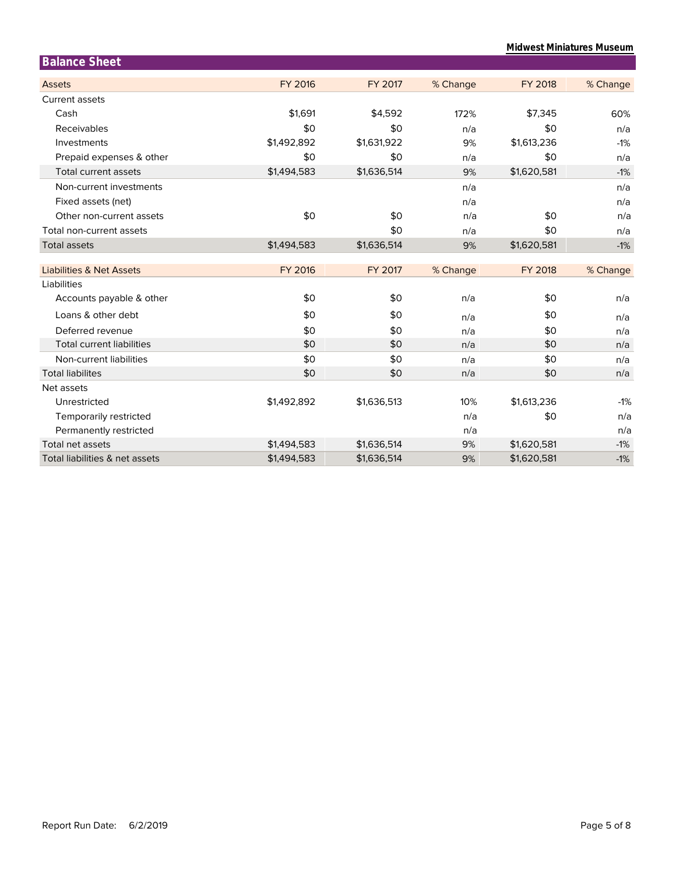| <b>Midwest Miniatures Museum</b> |  |
|----------------------------------|--|
|----------------------------------|--|

| <b>Balance Sheet</b>                |                |             |          |                |          |
|-------------------------------------|----------------|-------------|----------|----------------|----------|
| <b>Assets</b>                       | <b>FY 2016</b> | FY 2017     | % Change | <b>FY 2018</b> | % Change |
| <b>Current assets</b>               |                |             |          |                |          |
| Cash                                | \$1,691        | \$4,592     | 172%     | \$7,345        | 60%      |
| Receivables                         | \$0            | \$0         | n/a      | \$0            | n/a      |
| Investments                         | \$1,492,892    | \$1,631,922 | 9%       | \$1,613,236    | $-1%$    |
| Prepaid expenses & other            | \$0            | \$0         | n/a      | \$0            | n/a      |
| <b>Total current assets</b>         | \$1,494,583    | \$1,636,514 | 9%       | \$1,620,581    | $-1%$    |
| Non-current investments             |                |             | n/a      |                | n/a      |
| Fixed assets (net)                  |                |             | n/a      |                | n/a      |
| Other non-current assets            | \$0            | \$0         | n/a      | \$0            | n/a      |
| Total non-current assets            |                | \$0         | n/a      | \$0            | n/a      |
| <b>Total assets</b>                 | \$1,494,583    | \$1,636,514 | 9%       | \$1,620,581    | $-1%$    |
|                                     |                |             |          |                |          |
| <b>Liabilities &amp; Net Assets</b> | <b>FY 2016</b> | FY 2017     | % Change | <b>FY 2018</b> | % Change |
| Liabilities                         |                |             |          |                |          |
| Accounts payable & other            | \$0            | \$0         | n/a      | \$0            | n/a      |
| Loans & other debt                  | \$0            | \$0         | n/a      | \$0            | n/a      |
| Deferred revenue                    | \$0            | \$0         | n/a      | \$0            | n/a      |
| <b>Total current liabilities</b>    | \$0            | \$0         | n/a      | \$0            | n/a      |
| Non-current liabilities             | \$0            | \$0         | n/a      | \$0            | n/a      |
| <b>Total liabilites</b>             | \$0            | \$0         | n/a      | \$0            | n/a      |
| Net assets                          |                |             |          |                |          |
| Unrestricted                        | \$1,492,892    | \$1,636,513 | 10%      | \$1,613,236    | $-1%$    |
| Temporarily restricted              |                |             | n/a      | \$0            | n/a      |
| Permanently restricted              |                |             | n/a      |                | n/a      |
| Total net assets                    | \$1,494,583    | \$1,636,514 | 9%       | \$1,620,581    | $-1%$    |
| Total liabilities & net assets      | \$1,494,583    | \$1,636,514 | 9%       | \$1,620,581    | $-1%$    |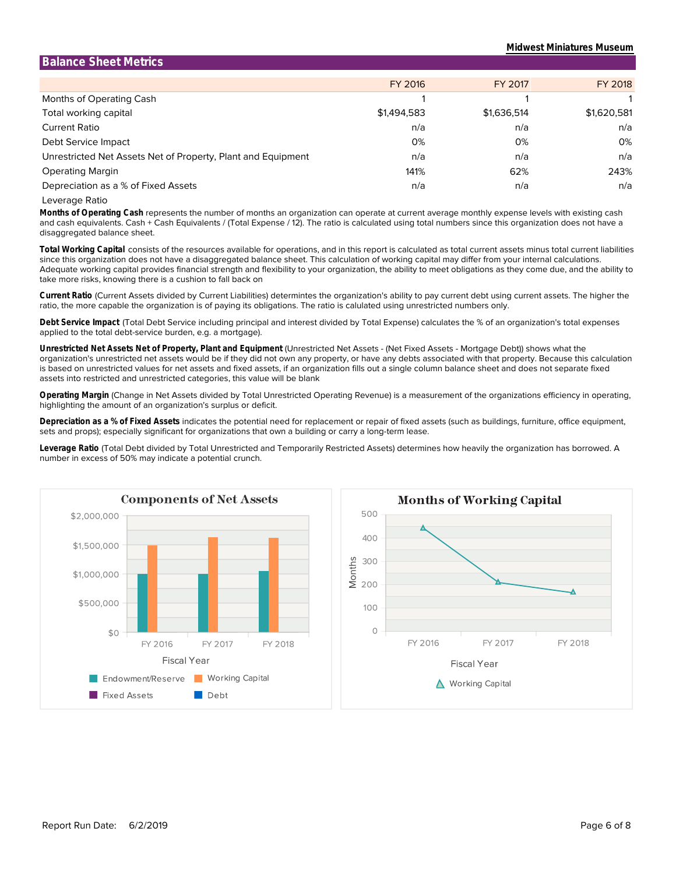| <b>Balance Sheet Metrics</b>                                 |             |             |             |
|--------------------------------------------------------------|-------------|-------------|-------------|
|                                                              | FY 2016     | FY 2017     | FY 2018     |
| Months of Operating Cash                                     |             |             |             |
| Total working capital                                        | \$1,494,583 | \$1,636,514 | \$1,620,581 |
| <b>Current Ratio</b>                                         | n/a         | n/a         | n/a         |
| Debt Service Impact                                          | 0%          | 0%          | 0%          |
| Unrestricted Net Assets Net of Property, Plant and Equipment | n/a         | n/a         | n/a         |
| <b>Operating Margin</b>                                      | 141%        | 62%         | 243%        |
| Depreciation as a % of Fixed Assets                          | n/a         | n/a         | n/a         |

Leverage Ratio

disaggregated balance sheet. and cash equivalents. Cash + Cash Equivalents / (Total Expense / 12). The ratio is calculated using total numbers since this organization does not have a **Months of Operating Cash** represents the number of months an organization can operate at current average monthly expense levels with existing cash

take more risks, knowing there is a cushion to fall back on Adequate working capital provides financial strength and flexibility to your organization, the ability to meet obligations as they come due, and the ability to since this organization does not have a disaggregated balance sheet. This calculation of working capital may differ from your internal calculations. **Total Working Capital** consists of the resources available for operations, and in this report is calculated as total current assets minus total current liabilities

ratio, the more capable the organization is of paying its obligations. The ratio is calulated using unrestricted numbers only. **Current Ratio** (Current Assets divided by Current Liabilities) determintes the organization's ability to pay current debt using current assets. The higher the

applied to the total debt-service burden, e.g. a mortgage). **Debt Service Impact** (Total Debt Service including principal and interest divided by Total Expense) calculates the % of an organization's total expenses

assets into restricted and unrestricted categories, this value will be blank is based on unrestricted values for net assets and fixed assets, if an organization fills out a single column balance sheet and does not separate fixed organization's unrestricted net assets would be if they did not own any property, or have any debts associated with that property. Because this calculation **Unrestricted Net Assets Net of Property, Plant and Equipment** (Unrestricted Net Assets - (Net Fixed Assets - Mortgage Debt)) shows what the

highlighting the amount of an organization's surplus or deficit. **Operating Margin** (Change in Net Assets divided by Total Unrestricted Operating Revenue) is a measurement of the organizations efficiency in operating,

sets and props); especially significant for organizations that own a building or carry a long-term lease. **Depreciation as a % of Fixed Assets** indicates the potential need for replacement or repair of fixed assets (such as buildings, furniture, office equipment,

number in excess of 50% may indicate a potential crunch. **Leverage Ratio** (Total Debt divided by Total Unrestricted and Temporarily Restricted Assets) determines how heavily the organization has borrowed. A



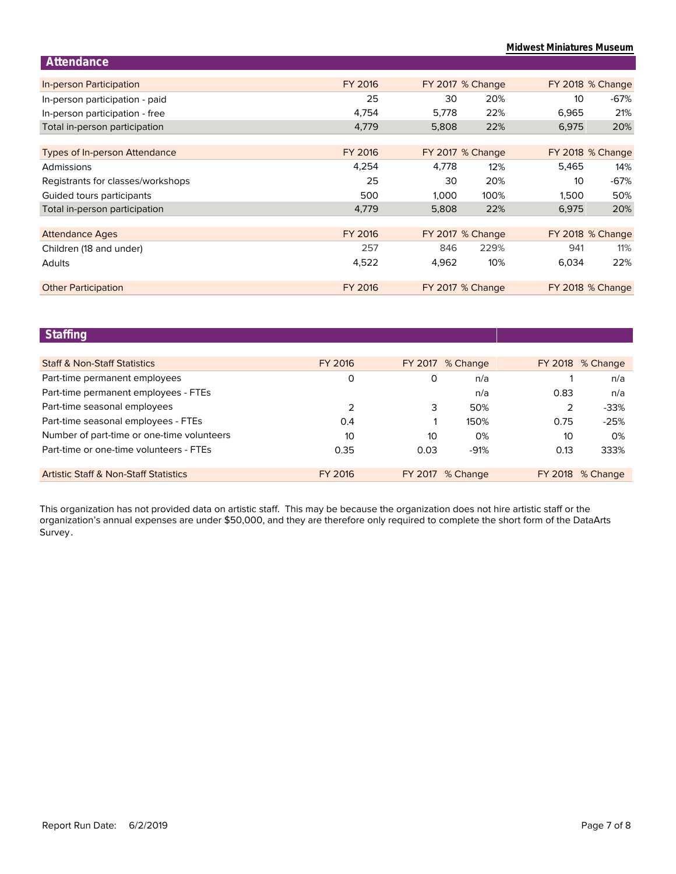**Midwest Miniatures Museum**

| FY 2016 |       |      |                                                                                     | FY 2018 % Change |
|---------|-------|------|-------------------------------------------------------------------------------------|------------------|
| 25      | 30    | 20%  | 10                                                                                  | $-67%$           |
| 4,754   | 5,778 | 22%  | 6,965                                                                               | 21%              |
| 4,779   | 5,808 | 22%  | 6,975                                                                               | 20%              |
|         |       |      |                                                                                     |                  |
| FY 2016 |       |      |                                                                                     | FY 2018 % Change |
| 4,254   | 4.778 | 12%  | 5.465                                                                               | 14%              |
| 25      | 30    | 20%  | 10 <sup>°</sup>                                                                     | $-67%$           |
| 500     | 1,000 | 100% | 1,500                                                                               | 50%              |
| 4,779   | 5,808 | 22%  | 6,975                                                                               | 20%              |
|         |       |      |                                                                                     |                  |
| FY 2016 |       |      |                                                                                     | FY 2018 % Change |
| 257     | 846   | 229% | 941                                                                                 | 11%              |
| 4,522   | 4,962 | 10%  | 6,034                                                                               | 22%              |
|         |       |      |                                                                                     |                  |
| FY 2016 |       |      |                                                                                     | FY 2018 % Change |
|         |       |      | FY 2017 % Change<br>FY 2017 % Change<br>FY 2017 % Change<br><b>FY 2017 % Change</b> |                  |

## **Staffing**

| <b>Staff &amp; Non-Staff Statistics</b>          | FY 2016       |      | FY 2017 % Change        |         | FY 2018 % Change |
|--------------------------------------------------|---------------|------|-------------------------|---------|------------------|
| Part-time permanent employees                    | O             | 0    | n/a                     |         | n/a              |
| Part-time permanent employees - FTEs             |               |      | n/a                     | 0.83    | n/a              |
| Part-time seasonal employees                     | $\mathcal{P}$ | 3    | 50%                     |         | $-33%$           |
| Part-time seasonal employees - FTEs              | 0.4           |      | 150%                    | 0.75    | $-25%$           |
| Number of part-time or one-time volunteers       | 10            | 10   | 0%                      | 10      | $0\%$            |
| Part-time or one-time volunteers - FTEs          | 0.35          | 0.03 | $-91%$                  | 0.13    | 333%             |
| <b>Artistic Staff &amp; Non-Staff Statistics</b> | FY 2016       |      | <b>FY 2017 % Change</b> | FY 2018 | % Change         |

Survey. organization's annual expenses are under \$50,000, and they are therefore only required to complete the short form of the DataArts This organization has not provided data on artistic staff. This may be because the organization does not hire artistic staff or the